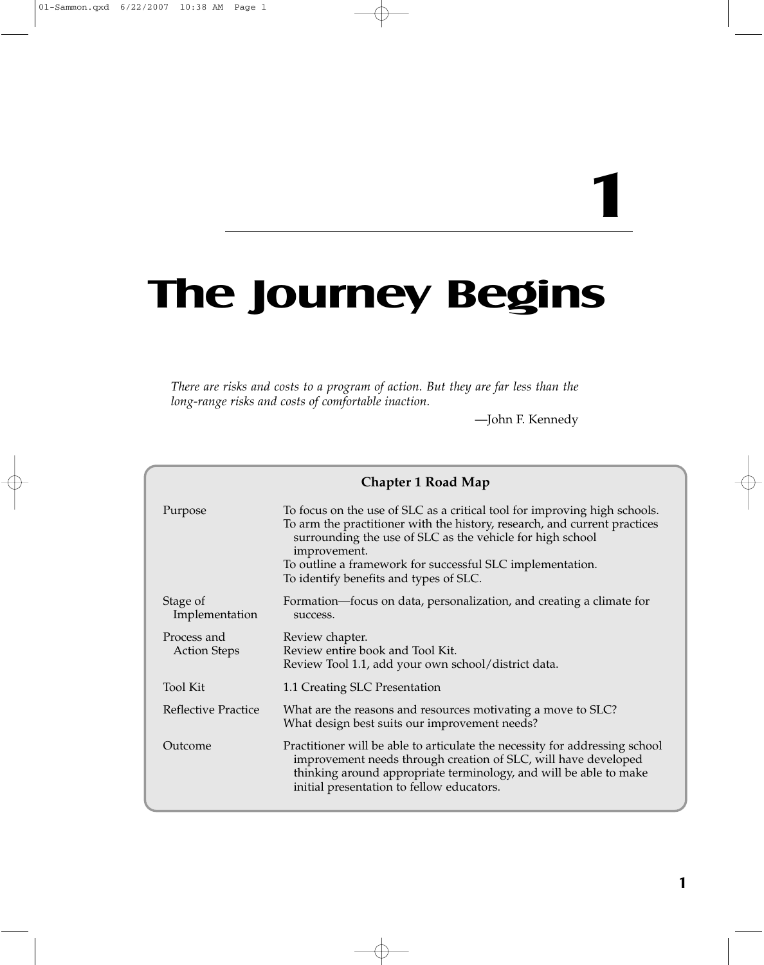# **1**

# **The Journey Begins**

*There are risks and costs to a program of action. But they are far less than the long-range risks and costs of comfortable inaction.*

—John F. Kennedy

| <b>Chapter 1 Road Map</b>          |                                                                                                                                                                                                                                                                                                                                            |
|------------------------------------|--------------------------------------------------------------------------------------------------------------------------------------------------------------------------------------------------------------------------------------------------------------------------------------------------------------------------------------------|
| Purpose                            | To focus on the use of SLC as a critical tool for improving high schools.<br>To arm the practitioner with the history, research, and current practices<br>surrounding the use of SLC as the vehicle for high school<br>improvement.<br>To outline a framework for successful SLC implementation.<br>To identify benefits and types of SLC. |
| Stage of<br>Implementation         | Formation—focus on data, personalization, and creating a climate for<br>success.                                                                                                                                                                                                                                                           |
| Process and<br><b>Action Steps</b> | Review chapter.<br>Review entire book and Tool Kit.<br>Review Tool 1.1, add your own school/district data.                                                                                                                                                                                                                                 |
| <b>Tool Kit</b>                    | 1.1 Creating SLC Presentation                                                                                                                                                                                                                                                                                                              |
| Reflective Practice                | What are the reasons and resources motivating a move to SLC?<br>What design best suits our improvement needs?                                                                                                                                                                                                                              |
| Outcome                            | Practitioner will be able to articulate the necessity for addressing school<br>improvement needs through creation of SLC, will have developed<br>thinking around appropriate terminology, and will be able to make<br>initial presentation to fellow educators.                                                                            |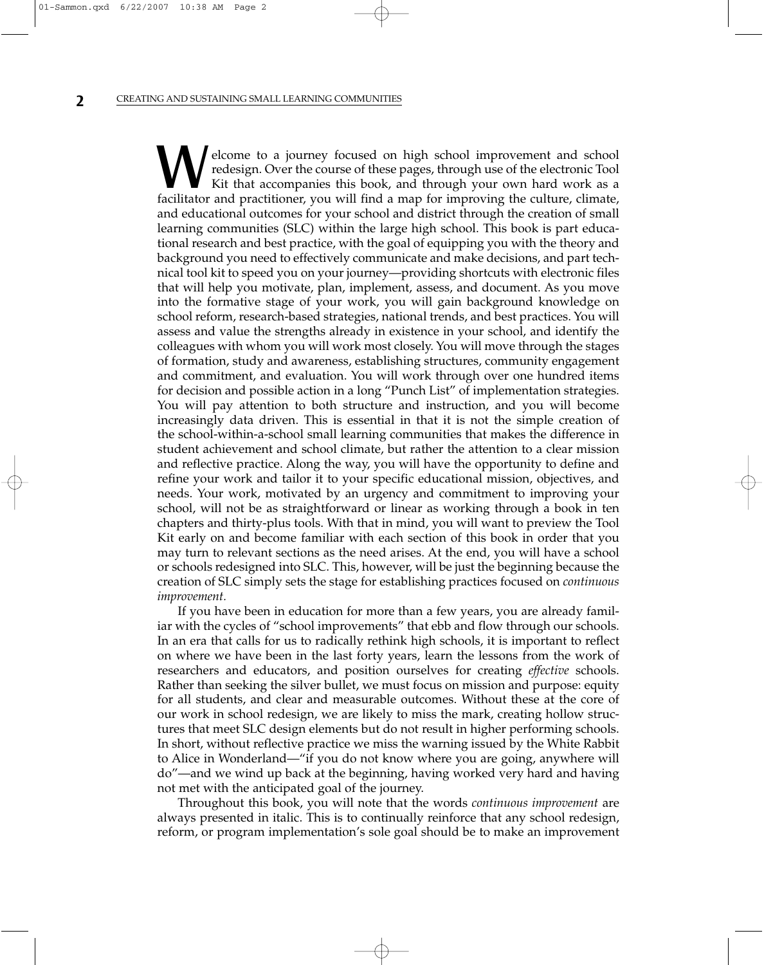elcome to a journey focused on high school improvement and school redesign. Over the course of these pages, through use of the electronic Tool Kit that accompanies this book, and through your own hard work as a facilitator and practitioner, you will find a map for improving the culture, climate, and educational outcomes for your school and district through the creation of small learning communities (SLC) within the large high school. This book is part educational research and best practice, with the goal of equipping you with the theory and background you need to effectively communicate and make decisions, and part technical tool kit to speed you on your journey—providing shortcuts with electronic files that will help you motivate, plan, implement, assess, and document. As you move into the formative stage of your work, you will gain background knowledge on school reform, research-based strategies, national trends, and best practices. You will assess and value the strengths already in existence in your school, and identify the colleagues with whom you will work most closely. You will move through the stages of formation, study and awareness, establishing structures, community engagement and commitment, and evaluation. You will work through over one hundred items for decision and possible action in a long "Punch List" of implementation strategies. You will pay attention to both structure and instruction, and you will become increasingly data driven. This is essential in that it is not the simple creation of the school-within-a-school small learning communities that makes the difference in student achievement and school climate, but rather the attention to a clear mission and reflective practice. Along the way, you will have the opportunity to define and refine your work and tailor it to your specific educational mission, objectives, and needs. Your work, motivated by an urgency and commitment to improving your school, will not be as straightforward or linear as working through a book in ten chapters and thirty-plus tools. With that in mind, you will want to preview the Tool Kit early on and become familiar with each section of this book in order that you may turn to relevant sections as the need arises. At the end, you will have a school or schools redesigned into SLC. This, however, will be just the beginning because the creation of SLC simply sets the stage for establishing practices focused on *continuous improvement.*

If you have been in education for more than a few years, you are already familiar with the cycles of "school improvements" that ebb and flow through our schools. In an era that calls for us to radically rethink high schools, it is important to reflect on where we have been in the last forty years, learn the lessons from the work of researchers and educators, and position ourselves for creating *effective* schools. Rather than seeking the silver bullet, we must focus on mission and purpose: equity for all students, and clear and measurable outcomes. Without these at the core of our work in school redesign, we are likely to miss the mark, creating hollow structures that meet SLC design elements but do not result in higher performing schools. In short, without reflective practice we miss the warning issued by the White Rabbit to Alice in Wonderland—"if you do not know where you are going, anywhere will do"—and we wind up back at the beginning, having worked very hard and having not met with the anticipated goal of the journey.

Throughout this book, you will note that the words *continuous improvement* are always presented in italic. This is to continually reinforce that any school redesign, reform, or program implementation's sole goal should be to make an improvement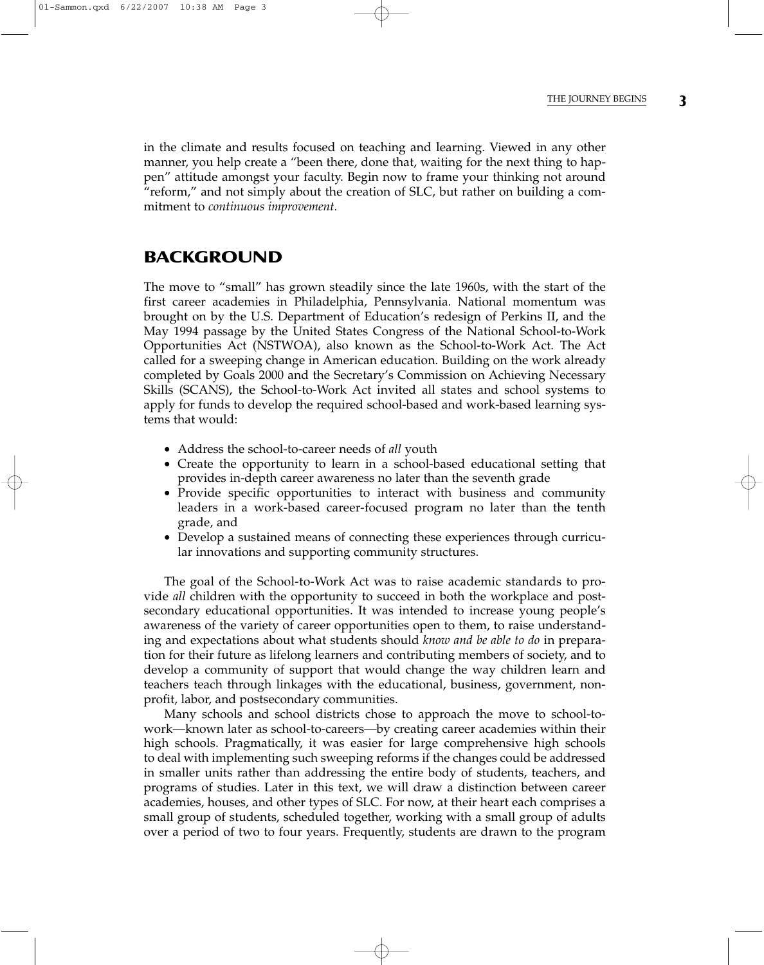in the climate and results focused on teaching and learning. Viewed in any other manner, you help create a "been there, done that, waiting for the next thing to happen" attitude amongst your faculty. Begin now to frame your thinking not around "reform," and not simply about the creation of SLC, but rather on building a commitment to *continuous improvement.*

# **BACKGROUND**

The move to "small" has grown steadily since the late 1960s, with the start of the first career academies in Philadelphia, Pennsylvania. National momentum was brought on by the U.S. Department of Education's redesign of Perkins II, and the May 1994 passage by the United States Congress of the National School-to-Work Opportunities Act (NSTWOA), also known as the School-to-Work Act. The Act called for a sweeping change in American education. Building on the work already completed by Goals 2000 and the Secretary's Commission on Achieving Necessary Skills (SCANS), the School-to-Work Act invited all states and school systems to apply for funds to develop the required school-based and work-based learning systems that would:

- Address the school-to-career needs of *all* youth
- Create the opportunity to learn in a school-based educational setting that provides in-depth career awareness no later than the seventh grade
- Provide specific opportunities to interact with business and community leaders in a work-based career-focused program no later than the tenth grade, and
- Develop a sustained means of connecting these experiences through curricular innovations and supporting community structures.

The goal of the School-to-Work Act was to raise academic standards to provide *all* children with the opportunity to succeed in both the workplace and postsecondary educational opportunities. It was intended to increase young people's awareness of the variety of career opportunities open to them, to raise understanding and expectations about what students should *know and be able to do* in preparation for their future as lifelong learners and contributing members of society, and to develop a community of support that would change the way children learn and teachers teach through linkages with the educational, business, government, nonprofit, labor, and postsecondary communities.

Many schools and school districts chose to approach the move to school-towork—known later as school-to-careers—by creating career academies within their high schools. Pragmatically, it was easier for large comprehensive high schools to deal with implementing such sweeping reforms if the changes could be addressed in smaller units rather than addressing the entire body of students, teachers, and programs of studies. Later in this text, we will draw a distinction between career academies, houses, and other types of SLC. For now, at their heart each comprises a small group of students, scheduled together, working with a small group of adults over a period of two to four years. Frequently, students are drawn to the program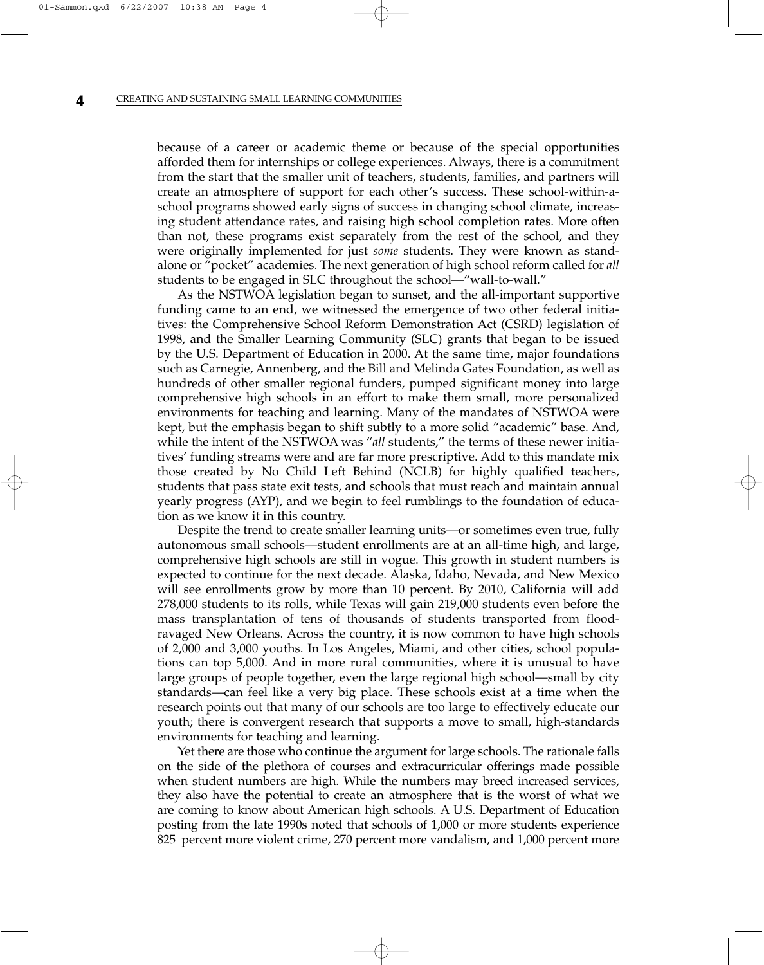because of a career or academic theme or because of the special opportunities afforded them for internships or college experiences. Always, there is a commitment from the start that the smaller unit of teachers, students, families, and partners will create an atmosphere of support for each other's success. These school-within-aschool programs showed early signs of success in changing school climate, increasing student attendance rates, and raising high school completion rates. More often than not, these programs exist separately from the rest of the school, and they were originally implemented for just *some* students. They were known as standalone or "pocket" academies. The next generation of high school reform called for *all* students to be engaged in SLC throughout the school—"wall-to-wall."

As the NSTWOA legislation began to sunset, and the all-important supportive funding came to an end, we witnessed the emergence of two other federal initiatives: the Comprehensive School Reform Demonstration Act (CSRD) legislation of 1998, and the Smaller Learning Community (SLC) grants that began to be issued by the U.S. Department of Education in 2000. At the same time, major foundations such as Carnegie, Annenberg, and the Bill and Melinda Gates Foundation, as well as hundreds of other smaller regional funders, pumped significant money into large comprehensive high schools in an effort to make them small, more personalized environments for teaching and learning. Many of the mandates of NSTWOA were kept, but the emphasis began to shift subtly to a more solid "academic" base. And, while the intent of the NSTWOA was "*all* students," the terms of these newer initiatives' funding streams were and are far more prescriptive. Add to this mandate mix those created by No Child Left Behind (NCLB) for highly qualified teachers, students that pass state exit tests, and schools that must reach and maintain annual yearly progress (AYP), and we begin to feel rumblings to the foundation of education as we know it in this country.

Despite the trend to create smaller learning units—or sometimes even true, fully autonomous small schools—student enrollments are at an all-time high, and large, comprehensive high schools are still in vogue. This growth in student numbers is expected to continue for the next decade. Alaska, Idaho, Nevada, and New Mexico will see enrollments grow by more than 10 percent. By 2010, California will add 278,000 students to its rolls, while Texas will gain 219,000 students even before the mass transplantation of tens of thousands of students transported from floodravaged New Orleans. Across the country, it is now common to have high schools of 2,000 and 3,000 youths. In Los Angeles, Miami, and other cities, school populations can top 5,000. And in more rural communities, where it is unusual to have large groups of people together, even the large regional high school—small by city standards—can feel like a very big place. These schools exist at a time when the research points out that many of our schools are too large to effectively educate our youth; there is convergent research that supports a move to small, high-standards environments for teaching and learning.

Yet there are those who continue the argument for large schools. The rationale falls on the side of the plethora of courses and extracurricular offerings made possible when student numbers are high. While the numbers may breed increased services, they also have the potential to create an atmosphere that is the worst of what we are coming to know about American high schools. A U.S. Department of Education posting from the late 1990s noted that schools of 1,000 or more students experience 825 percent more violent crime, 270 percent more vandalism, and 1,000 percent more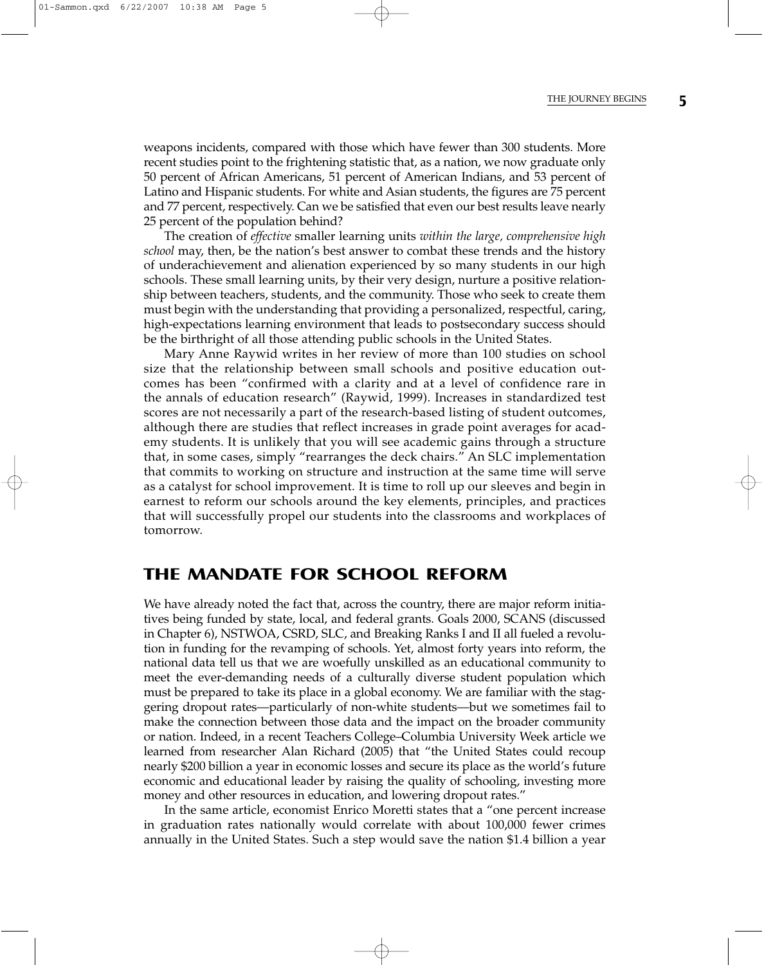weapons incidents, compared with those which have fewer than 300 students. More recent studies point to the frightening statistic that, as a nation, we now graduate only 50 percent of African Americans, 51 percent of American Indians, and 53 percent of Latino and Hispanic students. For white and Asian students, the figures are 75 percent and 77 percent, respectively. Can we be satisfied that even our best results leave nearly 25 percent of the population behind?

The creation of *effective* smaller learning units *within the large, comprehensive high school* may, then, be the nation's best answer to combat these trends and the history of underachievement and alienation experienced by so many students in our high schools. These small learning units, by their very design, nurture a positive relationship between teachers, students, and the community. Those who seek to create them must begin with the understanding that providing a personalized, respectful, caring, high-expectations learning environment that leads to postsecondary success should be the birthright of all those attending public schools in the United States.

Mary Anne Raywid writes in her review of more than 100 studies on school size that the relationship between small schools and positive education outcomes has been "confirmed with a clarity and at a level of confidence rare in the annals of education research" (Raywid, 1999). Increases in standardized test scores are not necessarily a part of the research-based listing of student outcomes, although there are studies that reflect increases in grade point averages for academy students. It is unlikely that you will see academic gains through a structure that, in some cases, simply "rearranges the deck chairs." An SLC implementation that commits to working on structure and instruction at the same time will serve as a catalyst for school improvement. It is time to roll up our sleeves and begin in earnest to reform our schools around the key elements, principles, and practices that will successfully propel our students into the classrooms and workplaces of tomorrow.

## **THE MANDATE FOR SCHOOL REFORM**

We have already noted the fact that, across the country, there are major reform initiatives being funded by state, local, and federal grants. Goals 2000, SCANS (discussed in Chapter 6), NSTWOA, CSRD, SLC, and Breaking Ranks I and II all fueled a revolution in funding for the revamping of schools. Yet, almost forty years into reform, the national data tell us that we are woefully unskilled as an educational community to meet the ever-demanding needs of a culturally diverse student population which must be prepared to take its place in a global economy. We are familiar with the staggering dropout rates—particularly of non-white students—but we sometimes fail to make the connection between those data and the impact on the broader community or nation. Indeed, in a recent Teachers College–Columbia University Week article we learned from researcher Alan Richard (2005) that "the United States could recoup nearly \$200 billion a year in economic losses and secure its place as the world's future economic and educational leader by raising the quality of schooling, investing more money and other resources in education, and lowering dropout rates."

In the same article, economist Enrico Moretti states that a "one percent increase in graduation rates nationally would correlate with about 100,000 fewer crimes annually in the United States. Such a step would save the nation \$1.4 billion a year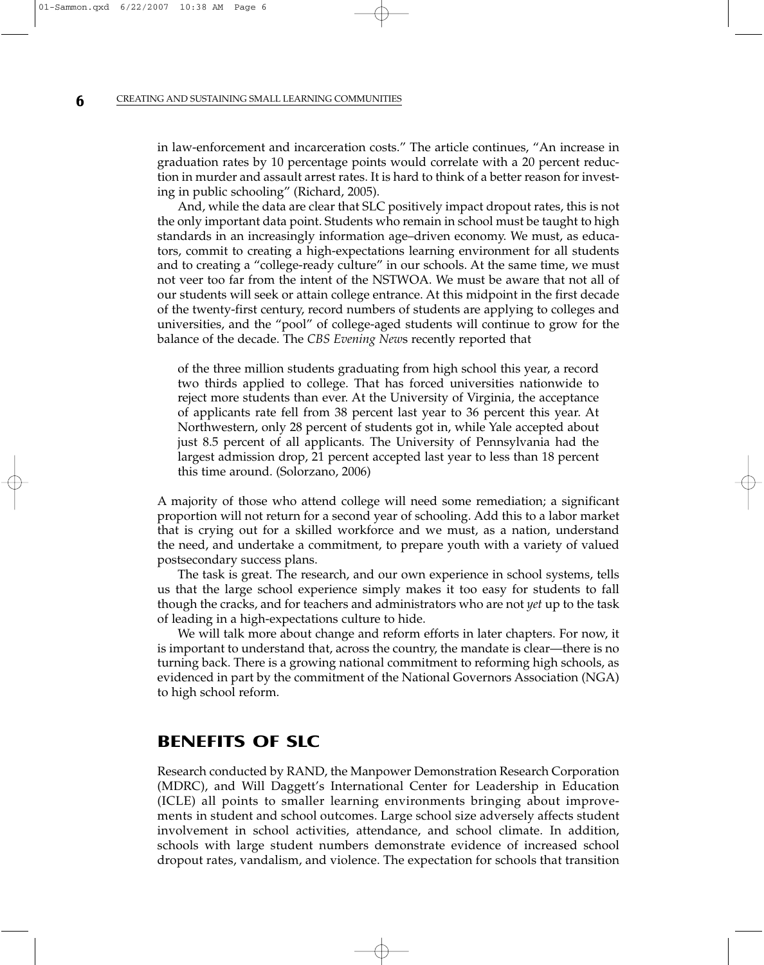in law-enforcement and incarceration costs." The article continues, "An increase in graduation rates by 10 percentage points would correlate with a 20 percent reduction in murder and assault arrest rates. It is hard to think of a better reason for investing in public schooling" (Richard, 2005).

And, while the data are clear that SLC positively impact dropout rates, this is not the only important data point. Students who remain in school must be taught to high standards in an increasingly information age–driven economy. We must, as educators, commit to creating a high-expectations learning environment for all students and to creating a "college-ready culture" in our schools. At the same time, we must not veer too far from the intent of the NSTWOA. We must be aware that not all of our students will seek or attain college entrance. At this midpoint in the first decade of the twenty-first century, record numbers of students are applying to colleges and universities, and the "pool" of college-aged students will continue to grow for the balance of the decade. The *CBS Evening New*s recently reported that

of the three million students graduating from high school this year, a record two thirds applied to college. That has forced universities nationwide to reject more students than ever. At the University of Virginia, the acceptance of applicants rate fell from 38 percent last year to 36 percent this year. At Northwestern, only 28 percent of students got in, while Yale accepted about just 8.5 percent of all applicants. The University of Pennsylvania had the largest admission drop, 21 percent accepted last year to less than 18 percent this time around. (Solorzano, 2006)

A majority of those who attend college will need some remediation; a significant proportion will not return for a second year of schooling. Add this to a labor market that is crying out for a skilled workforce and we must, as a nation, understand the need, and undertake a commitment, to prepare youth with a variety of valued postsecondary success plans.

The task is great. The research, and our own experience in school systems, tells us that the large school experience simply makes it too easy for students to fall though the cracks, and for teachers and administrators who are not *yet* up to the task of leading in a high-expectations culture to hide.

We will talk more about change and reform efforts in later chapters. For now, it is important to understand that, across the country, the mandate is clear—there is no turning back. There is a growing national commitment to reforming high schools, as evidenced in part by the commitment of the National Governors Association (NGA) to high school reform.

## **BENEFITS OF SLC**

Research conducted by RAND, the Manpower Demonstration Research Corporation (MDRC), and Will Daggett's International Center for Leadership in Education (ICLE) all points to smaller learning environments bringing about improvements in student and school outcomes. Large school size adversely affects student involvement in school activities, attendance, and school climate. In addition, schools with large student numbers demonstrate evidence of increased school dropout rates, vandalism, and violence. The expectation for schools that transition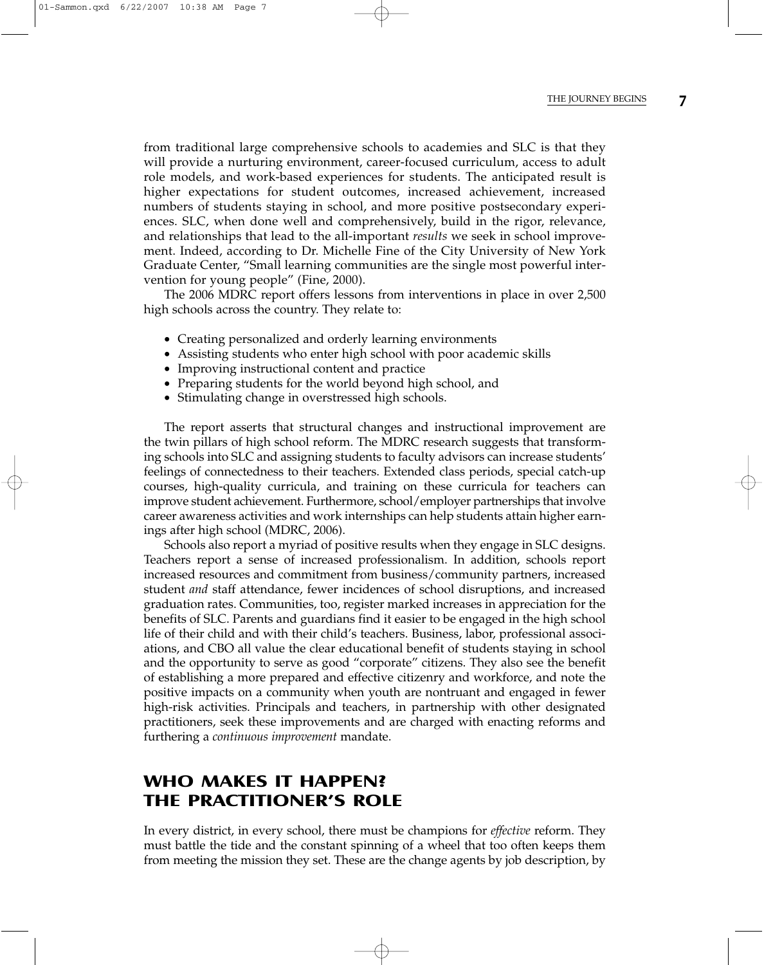from traditional large comprehensive schools to academies and SLC is that they will provide a nurturing environment, career-focused curriculum, access to adult role models, and work-based experiences for students. The anticipated result is higher expectations for student outcomes, increased achievement, increased numbers of students staying in school, and more positive postsecondary experiences. SLC, when done well and comprehensively, build in the rigor, relevance, and relationships that lead to the all-important *results* we seek in school improvement. Indeed, according to Dr. Michelle Fine of the City University of New York Graduate Center, "Small learning communities are the single most powerful intervention for young people" (Fine, 2000).

The 2006 MDRC report offers lessons from interventions in place in over 2,500 high schools across the country. They relate to:

- Creating personalized and orderly learning environments
- Assisting students who enter high school with poor academic skills
- Improving instructional content and practice
- Preparing students for the world beyond high school, and
- Stimulating change in overstressed high schools.

The report asserts that structural changes and instructional improvement are the twin pillars of high school reform. The MDRC research suggests that transforming schools into SLC and assigning students to faculty advisors can increase students' feelings of connectedness to their teachers. Extended class periods, special catch-up courses, high-quality curricula, and training on these curricula for teachers can improve student achievement. Furthermore, school/employer partnerships that involve career awareness activities and work internships can help students attain higher earnings after high school (MDRC, 2006).

Schools also report a myriad of positive results when they engage in SLC designs. Teachers report a sense of increased professionalism. In addition, schools report increased resources and commitment from business/community partners, increased student *and* staff attendance, fewer incidences of school disruptions, and increased graduation rates. Communities, too, register marked increases in appreciation for the benefits of SLC. Parents and guardians find it easier to be engaged in the high school life of their child and with their child's teachers. Business, labor, professional associations, and CBO all value the clear educational benefit of students staying in school and the opportunity to serve as good "corporate" citizens. They also see the benefit of establishing a more prepared and effective citizenry and workforce, and note the positive impacts on a community when youth are nontruant and engaged in fewer high-risk activities. Principals and teachers, in partnership with other designated practitioners, seek these improvements and are charged with enacting reforms and furthering a *continuous improvement* mandate.

# **WHO MAKES IT HAPPEN? THE PRACTITIONER'S ROLE**

In every district, in every school, there must be champions for *effective* reform. They must battle the tide and the constant spinning of a wheel that too often keeps them from meeting the mission they set. These are the change agents by job description, by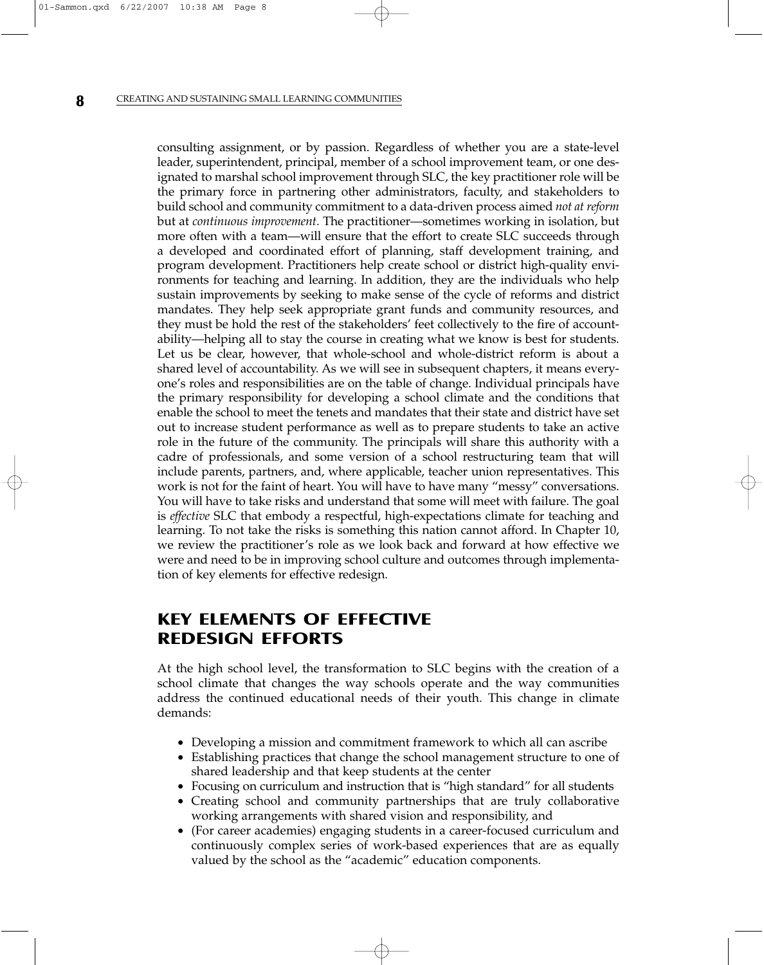consulting assignment, or by passion. Regardless of whether you are a state-level leader, superintendent, principal, member of a school improvement team, or one designated to marshal school improvement through SLC, the key practitioner role will be the primary force in partnering other administrators, faculty, and stakeholders to build school and community commitment to a data-driven process aimed *not at reform* but at *continuous improvement.* The practitioner—sometimes working in isolation, but more often with a team—will ensure that the effort to create SLC succeeds through a developed and coordinated effort of planning, staff development training, and program development. Practitioners help create school or district high-quality environments for teaching and learning. In addition, they are the individuals who help sustain improvements by seeking to make sense of the cycle of reforms and district mandates. They help seek appropriate grant funds and community resources, and they must be hold the rest of the stakeholders' feet collectively to the fire of accountability—helping all to stay the course in creating what we know is best for students. Let us be clear, however, that whole-school and whole-district reform is about a shared level of accountability. As we will see in subsequent chapters, it means everyone's roles and responsibilities are on the table of change. Individual principals have the primary responsibility for developing a school climate and the conditions that enable the school to meet the tenets and mandates that their state and district have set out to increase student performance as well as to prepare students to take an active role in the future of the community. The principals will share this authority with a cadre of professionals, and some version of a school restructuring team that will include parents, partners, and, where applicable, teacher union representatives. This work is not for the faint of heart. You will have to have many "messy" conversations. You will have to take risks and understand that some will meet with failure. The goal is *effective* SLC that embody a respectful, high-expectations climate for teaching and learning. To not take the risks is something this nation cannot afford. In Chapter 10, we review the practitioner's role as we look back and forward at how effective we were and need to be in improving school culture and outcomes through implementation of key elements for effective redesign.

# **KEY ELEMENTS OF EFFECTIVE REDESIGN EFFORTS**

At the high school level, the transformation to SLC begins with the creation of a school climate that changes the way schools operate and the way communities address the continued educational needs of their youth. This change in climate demands:

- Developing a mission and commitment framework to which all can ascribe
- Establishing practices that change the school management structure to one of shared leadership and that keep students at the center
- Focusing on curriculum and instruction that is "high standard" for all students
- Creating school and community partnerships that are truly collaborative working arrangements with shared vision and responsibility, and
- (For career academies) engaging students in a career-focused curriculum and continuously complex series of work-based experiences that are as equally valued by the school as the "academic" education components.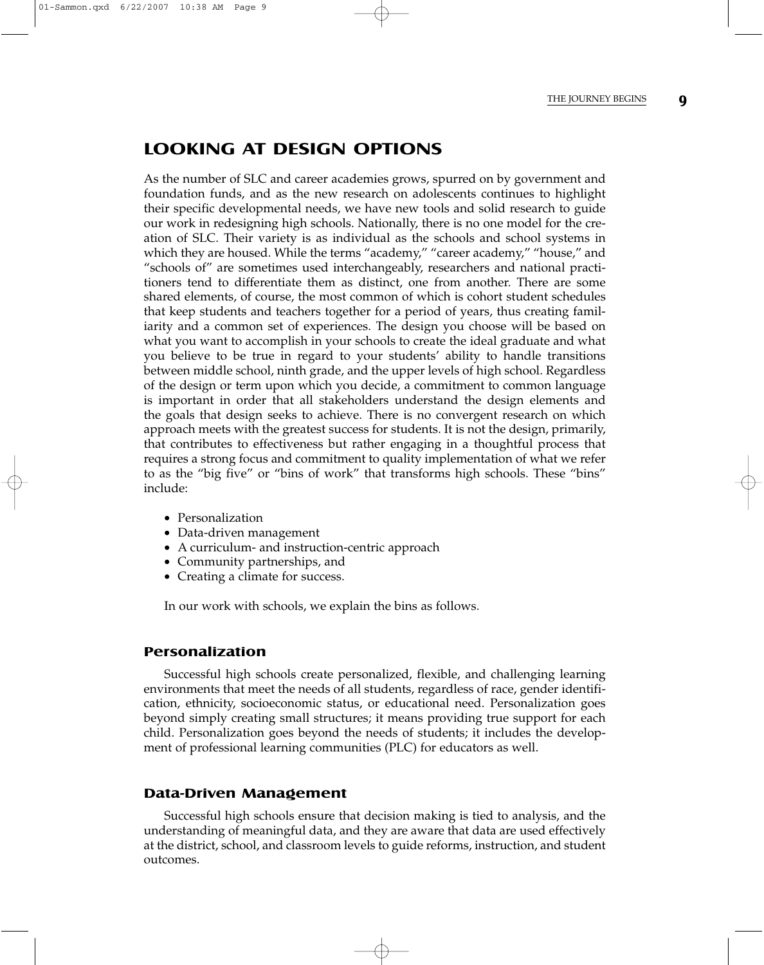# **LOOKING AT DESIGN OPTIONS**

As the number of SLC and career academies grows, spurred on by government and foundation funds, and as the new research on adolescents continues to highlight their specific developmental needs, we have new tools and solid research to guide our work in redesigning high schools. Nationally, there is no one model for the creation of SLC. Their variety is as individual as the schools and school systems in which they are housed. While the terms "academy," "career academy," "house," and "schools of" are sometimes used interchangeably, researchers and national practitioners tend to differentiate them as distinct, one from another. There are some shared elements, of course, the most common of which is cohort student schedules that keep students and teachers together for a period of years, thus creating familiarity and a common set of experiences. The design you choose will be based on what you want to accomplish in your schools to create the ideal graduate and what you believe to be true in regard to your students' ability to handle transitions between middle school, ninth grade, and the upper levels of high school. Regardless of the design or term upon which you decide, a commitment to common language is important in order that all stakeholders understand the design elements and the goals that design seeks to achieve. There is no convergent research on which approach meets with the greatest success for students. It is not the design, primarily, that contributes to effectiveness but rather engaging in a thoughtful process that requires a strong focus and commitment to quality implementation of what we refer to as the "big five" or "bins of work" that transforms high schools. These "bins" include:

- Personalization
- Data-driven management
- A curriculum- and instruction-centric approach
- Community partnerships, and
- Creating a climate for success.

In our work with schools, we explain the bins as follows.

#### **Personalization**

Successful high schools create personalized, flexible, and challenging learning environments that meet the needs of all students, regardless of race, gender identification, ethnicity, socioeconomic status, or educational need. Personalization goes beyond simply creating small structures; it means providing true support for each child. Personalization goes beyond the needs of students; it includes the development of professional learning communities (PLC) for educators as well.

#### **Data-Driven Management**

Successful high schools ensure that decision making is tied to analysis, and the understanding of meaningful data, and they are aware that data are used effectively at the district, school, and classroom levels to guide reforms, instruction, and student outcomes.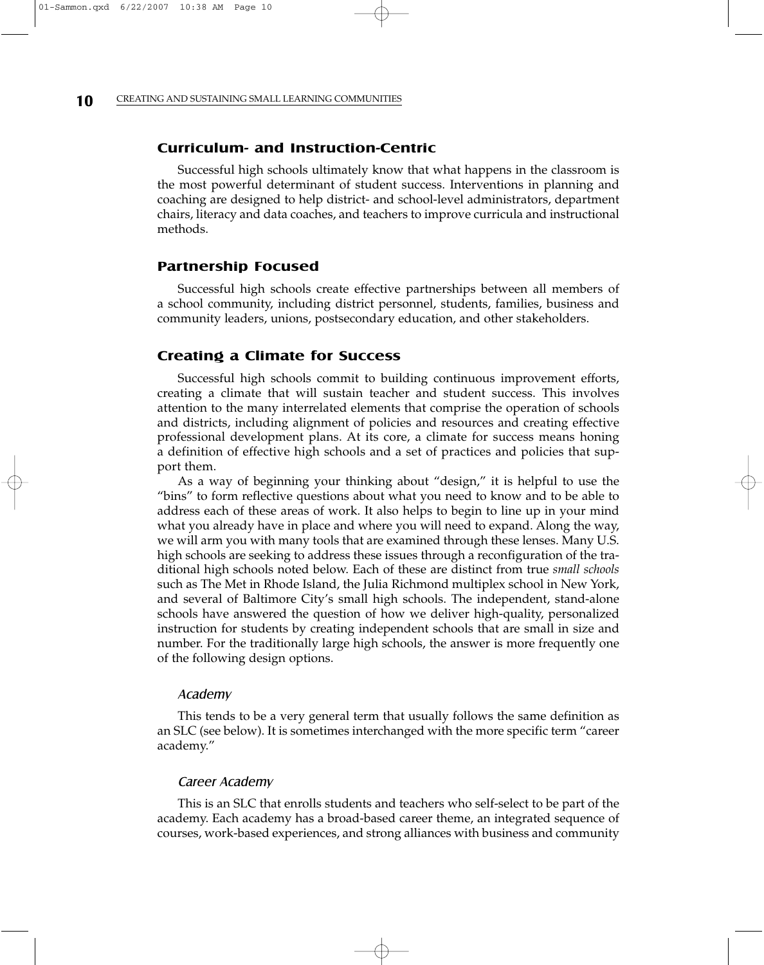#### **Curriculum- and Instruction-Centric**

Successful high schools ultimately know that what happens in the classroom is the most powerful determinant of student success. Interventions in planning and coaching are designed to help district- and school-level administrators, department chairs, literacy and data coaches, and teachers to improve curricula and instructional methods.

#### **Partnership Focused**

Successful high schools create effective partnerships between all members of a school community, including district personnel, students, families, business and community leaders, unions, postsecondary education, and other stakeholders.

#### **Creating a Climate for Success**

Successful high schools commit to building continuous improvement efforts, creating a climate that will sustain teacher and student success. This involves attention to the many interrelated elements that comprise the operation of schools and districts, including alignment of policies and resources and creating effective professional development plans. At its core, a climate for success means honing a definition of effective high schools and a set of practices and policies that support them.

As a way of beginning your thinking about "design," it is helpful to use the "bins" to form reflective questions about what you need to know and to be able to address each of these areas of work. It also helps to begin to line up in your mind what you already have in place and where you will need to expand. Along the way, we will arm you with many tools that are examined through these lenses. Many U.S. high schools are seeking to address these issues through a reconfiguration of the traditional high schools noted below. Each of these are distinct from true *small schools* such as The Met in Rhode Island, the Julia Richmond multiplex school in New York, and several of Baltimore City's small high schools. The independent, stand-alone schools have answered the question of how we deliver high-quality, personalized instruction for students by creating independent schools that are small in size and number. For the traditionally large high schools, the answer is more frequently one of the following design options.

#### Academy

This tends to be a very general term that usually follows the same definition as an SLC (see below). It is sometimes interchanged with the more specific term "career academy."

#### Career Academy

This is an SLC that enrolls students and teachers who self-select to be part of the academy. Each academy has a broad-based career theme, an integrated sequence of courses, work-based experiences, and strong alliances with business and community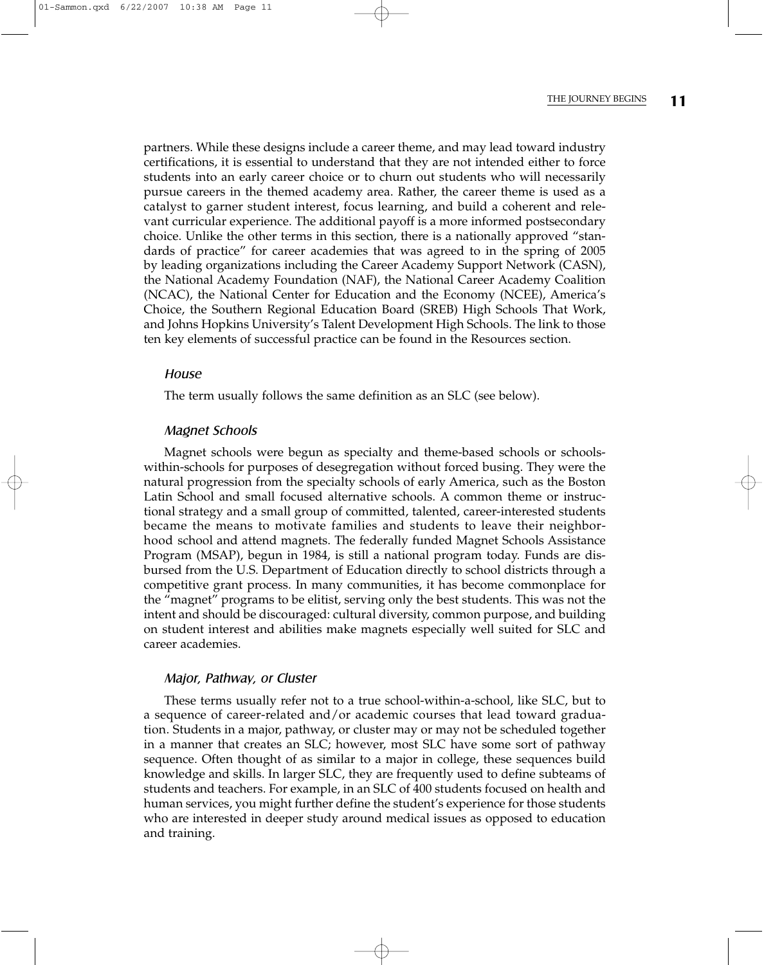partners. While these designs include a career theme, and may lead toward industry certifications, it is essential to understand that they are not intended either to force students into an early career choice or to churn out students who will necessarily pursue careers in the themed academy area. Rather, the career theme is used as a catalyst to garner student interest, focus learning, and build a coherent and relevant curricular experience. The additional payoff is a more informed postsecondary choice. Unlike the other terms in this section, there is a nationally approved "standards of practice" for career academies that was agreed to in the spring of 2005 by leading organizations including the Career Academy Support Network (CASN), the National Academy Foundation (NAF), the National Career Academy Coalition (NCAC), the National Center for Education and the Economy (NCEE), America's Choice, the Southern Regional Education Board (SREB) High Schools That Work, and Johns Hopkins University's Talent Development High Schools. The link to those ten key elements of successful practice can be found in the Resources section.

#### **House**

The term usually follows the same definition as an SLC (see below).

#### Magnet Schools

Magnet schools were begun as specialty and theme-based schools or schoolswithin-schools for purposes of desegregation without forced busing. They were the natural progression from the specialty schools of early America, such as the Boston Latin School and small focused alternative schools. A common theme or instructional strategy and a small group of committed, talented, career-interested students became the means to motivate families and students to leave their neighborhood school and attend magnets. The federally funded Magnet Schools Assistance Program (MSAP), begun in 1984, is still a national program today. Funds are disbursed from the U.S. Department of Education directly to school districts through a competitive grant process. In many communities, it has become commonplace for the "magnet" programs to be elitist, serving only the best students. This was not the intent and should be discouraged: cultural diversity, common purpose, and building on student interest and abilities make magnets especially well suited for SLC and career academies.

#### Major, Pathway, or Cluster

These terms usually refer not to a true school-within-a-school, like SLC, but to a sequence of career-related and/or academic courses that lead toward graduation. Students in a major, pathway, or cluster may or may not be scheduled together in a manner that creates an SLC; however, most SLC have some sort of pathway sequence. Often thought of as similar to a major in college, these sequences build knowledge and skills. In larger SLC, they are frequently used to define subteams of students and teachers. For example, in an SLC of 400 students focused on health and human services, you might further define the student's experience for those students who are interested in deeper study around medical issues as opposed to education and training.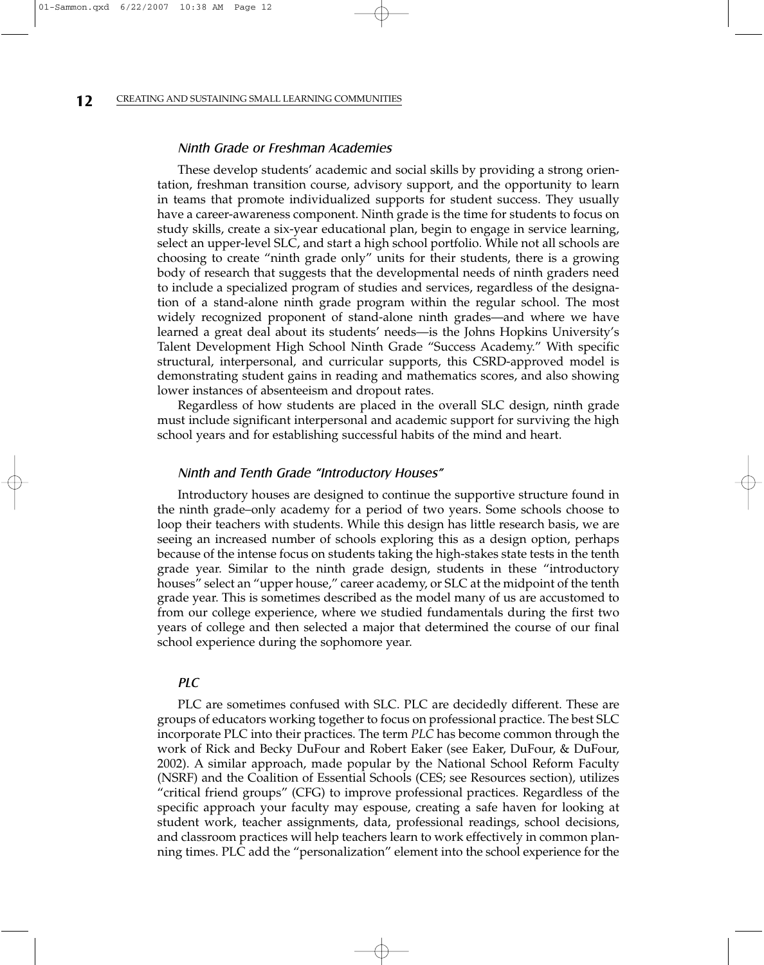#### Ninth Grade or Freshman Academies

These develop students' academic and social skills by providing a strong orientation, freshman transition course, advisory support, and the opportunity to learn in teams that promote individualized supports for student success. They usually have a career-awareness component. Ninth grade is the time for students to focus on study skills, create a six-year educational plan, begin to engage in service learning, select an upper-level SLC, and start a high school portfolio. While not all schools are choosing to create "ninth grade only" units for their students, there is a growing body of research that suggests that the developmental needs of ninth graders need to include a specialized program of studies and services, regardless of the designation of a stand-alone ninth grade program within the regular school. The most widely recognized proponent of stand-alone ninth grades—and where we have learned a great deal about its students' needs—is the Johns Hopkins University's Talent Development High School Ninth Grade "Success Academy." With specific structural, interpersonal, and curricular supports, this CSRD-approved model is demonstrating student gains in reading and mathematics scores, and also showing lower instances of absenteeism and dropout rates.

Regardless of how students are placed in the overall SLC design, ninth grade must include significant interpersonal and academic support for surviving the high school years and for establishing successful habits of the mind and heart.

#### Ninth and Tenth Grade "Introductory Houses"

Introductory houses are designed to continue the supportive structure found in the ninth grade–only academy for a period of two years. Some schools choose to loop their teachers with students. While this design has little research basis, we are seeing an increased number of schools exploring this as a design option, perhaps because of the intense focus on students taking the high-stakes state tests in the tenth grade year. Similar to the ninth grade design, students in these "introductory houses" select an "upper house," career academy, or SLC at the midpoint of the tenth grade year. This is sometimes described as the model many of us are accustomed to from our college experience, where we studied fundamentals during the first two years of college and then selected a major that determined the course of our final school experience during the sophomore year.

#### **PLC**

PLC are sometimes confused with SLC. PLC are decidedly different. These are groups of educators working together to focus on professional practice. The best SLC incorporate PLC into their practices. The term *PLC* has become common through the work of Rick and Becky DuFour and Robert Eaker (see Eaker, DuFour, & DuFour, 2002). A similar approach, made popular by the National School Reform Faculty (NSRF) and the Coalition of Essential Schools (CES; see Resources section), utilizes "critical friend groups" (CFG) to improve professional practices. Regardless of the specific approach your faculty may espouse, creating a safe haven for looking at student work, teacher assignments, data, professional readings, school decisions, and classroom practices will help teachers learn to work effectively in common planning times. PLC add the "personalization" element into the school experience for the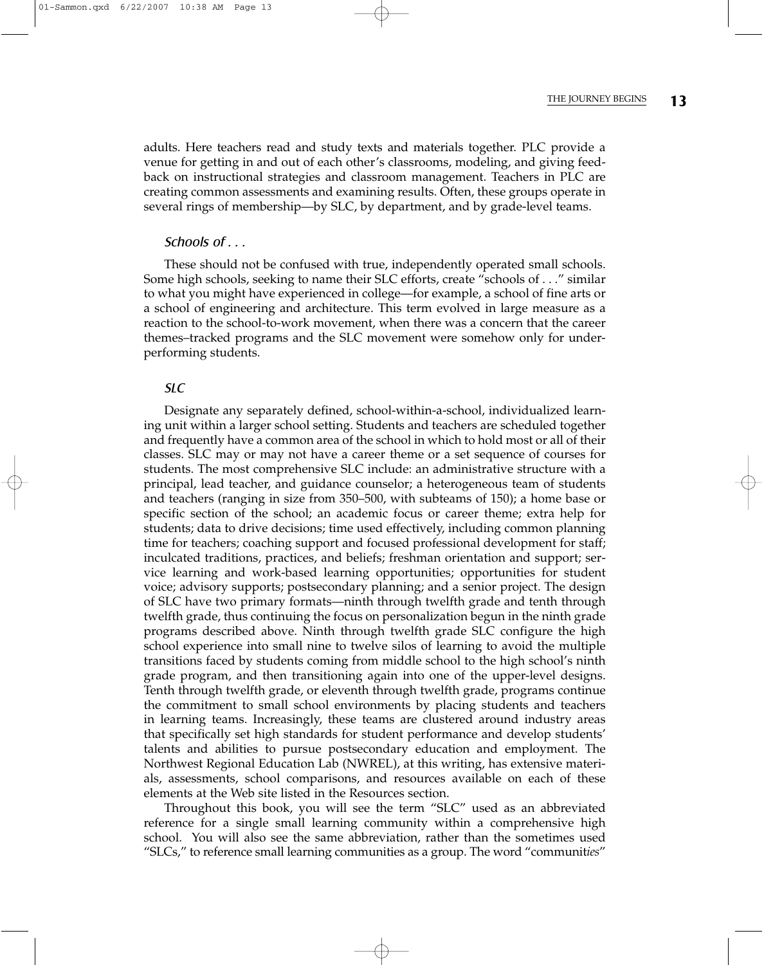adults. Here teachers read and study texts and materials together. PLC provide a venue for getting in and out of each other's classrooms, modeling, and giving feedback on instructional strategies and classroom management. Teachers in PLC are creating common assessments and examining results. Often, these groups operate in several rings of membership—by SLC, by department, and by grade-level teams.

#### Schools of . . .

These should not be confused with true, independently operated small schools. Some high schools, seeking to name their SLC efforts, create "schools of . . ." similar to what you might have experienced in college—for example, a school of fine arts or a school of engineering and architecture. This term evolved in large measure as a reaction to the school-to-work movement, when there was a concern that the career themes–tracked programs and the SLC movement were somehow only for underperforming students.

#### SLC

Designate any separately defined, school-within-a-school, individualized learning unit within a larger school setting. Students and teachers are scheduled together and frequently have a common area of the school in which to hold most or all of their classes. SLC may or may not have a career theme or a set sequence of courses for students. The most comprehensive SLC include: an administrative structure with a principal, lead teacher, and guidance counselor; a heterogeneous team of students and teachers (ranging in size from 350–500, with subteams of 150); a home base or specific section of the school; an academic focus or career theme; extra help for students; data to drive decisions; time used effectively, including common planning time for teachers; coaching support and focused professional development for staff; inculcated traditions, practices, and beliefs; freshman orientation and support; service learning and work-based learning opportunities; opportunities for student voice; advisory supports; postsecondary planning; and a senior project. The design of SLC have two primary formats—ninth through twelfth grade and tenth through twelfth grade, thus continuing the focus on personalization begun in the ninth grade programs described above. Ninth through twelfth grade SLC configure the high school experience into small nine to twelve silos of learning to avoid the multiple transitions faced by students coming from middle school to the high school's ninth grade program, and then transitioning again into one of the upper-level designs. Tenth through twelfth grade, or eleventh through twelfth grade, programs continue the commitment to small school environments by placing students and teachers in learning teams. Increasingly, these teams are clustered around industry areas that specifically set high standards for student performance and develop students' talents and abilities to pursue postsecondary education and employment. The Northwest Regional Education Lab (NWREL), at this writing, has extensive materials, assessments, school comparisons, and resources available on each of these elements at the Web site listed in the Resources section.

Throughout this book, you will see the term "SLC" used as an abbreviated reference for a single small learning community within a comprehensive high school. You will also see the same abbreviation, rather than the sometimes used "SLCs," to reference small learning communities as a group. The word "communit*ies*"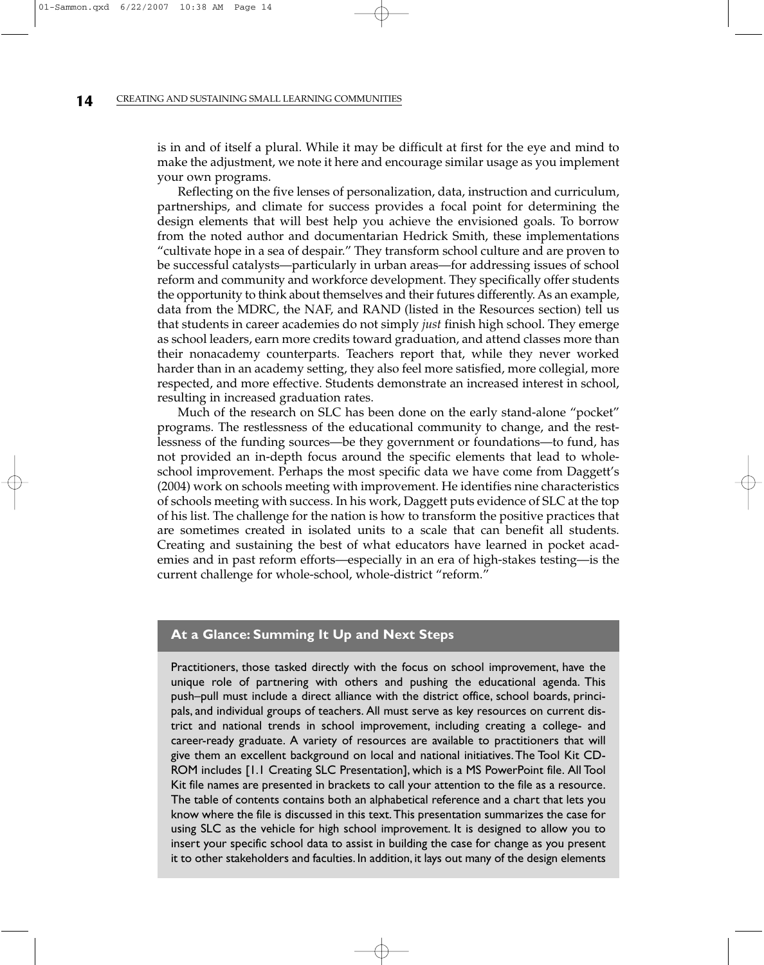is in and of itself a plural. While it may be difficult at first for the eye and mind to make the adjustment, we note it here and encourage similar usage as you implement your own programs.

Reflecting on the five lenses of personalization, data, instruction and curriculum, partnerships, and climate for success provides a focal point for determining the design elements that will best help you achieve the envisioned goals. To borrow from the noted author and documentarian Hedrick Smith, these implementations "cultivate hope in a sea of despair." They transform school culture and are proven to be successful catalysts—particularly in urban areas—for addressing issues of school reform and community and workforce development. They specifically offer students the opportunity to think about themselves and their futures differently. As an example, data from the MDRC, the NAF, and RAND (listed in the Resources section) tell us that students in career academies do not simply *just* finish high school. They emerge as school leaders, earn more credits toward graduation, and attend classes more than their nonacademy counterparts. Teachers report that, while they never worked harder than in an academy setting, they also feel more satisfied, more collegial, more respected, and more effective. Students demonstrate an increased interest in school, resulting in increased graduation rates.

Much of the research on SLC has been done on the early stand-alone "pocket" programs. The restlessness of the educational community to change, and the restlessness of the funding sources—be they government or foundations—to fund, has not provided an in-depth focus around the specific elements that lead to wholeschool improvement. Perhaps the most specific data we have come from Daggett's (2004) work on schools meeting with improvement. He identifies nine characteristics of schools meeting with success. In his work, Daggett puts evidence of SLC at the top of his list. The challenge for the nation is how to transform the positive practices that are sometimes created in isolated units to a scale that can benefit all students. Creating and sustaining the best of what educators have learned in pocket academies and in past reform efforts—especially in an era of high-stakes testing—is the current challenge for whole-school, whole-district "reform."

#### **At a Glance: Summing It Up and Next Steps**

Practitioners, those tasked directly with the focus on school improvement, have the unique role of partnering with others and pushing the educational agenda. This push–pull must include a direct alliance with the district office, school boards, principals, and individual groups of teachers. All must serve as key resources on current district and national trends in school improvement, including creating a college- and career-ready graduate. A variety of resources are available to practitioners that will give them an excellent background on local and national initiatives.The Tool Kit CD-ROM includes [1.1 Creating SLC Presentation], which is a MS PowerPoint file. All Tool Kit file names are presented in brackets to call your attention to the file as a resource. The table of contents contains both an alphabetical reference and a chart that lets you know where the file is discussed in this text.This presentation summarizes the case for using SLC as the vehicle for high school improvement. It is designed to allow you to insert your specific school data to assist in building the case for change as you present it to other stakeholders and faculties. In addition, it lays out many of the design elements